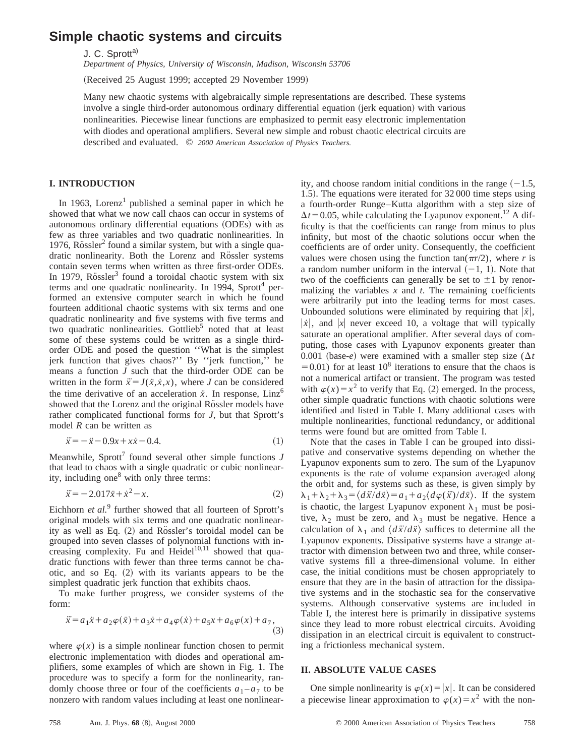# **Simple chaotic systems and circuits**

J. C. Sprott<sup>a)</sup>

*Department of Physics, University of Wisconsin, Madison, Wisconsin 53706*

(Received 25 August 1999; accepted 29 November 1999)

Many new chaotic systems with algebraically simple representations are described. These systems involve a single third-order autonomous ordinary differential equation (jerk equation) with various nonlinearities. Piecewise linear functions are emphasized to permit easy electronic implementation with diodes and operational amplifiers. Several new simple and robust chaotic electrical circuits are described and evaluated. © *2000 American Association of Physics Teachers.*

## **I. INTRODUCTION**

In 1963, Lorenz<sup>1</sup> published a seminal paper in which he showed that what we now call chaos can occur in systems of autonomous ordinary differential equations (ODEs) with as few as three variables and two quadratic nonlinearities. In 1976, Rössler<sup>2</sup> found a similar system, but with a single quadratic nonlinearity. Both the Lorenz and Rössler systems contain seven terms when written as three first-order ODEs. In 1979, Rössler<sup>3</sup> found a toroidal chaotic system with six terms and one quadratic nonlinearity. In 1994, Sprott<sup>4</sup> performed an extensive computer search in which he found fourteen additional chaotic systems with six terms and one quadratic nonlinearity and five systems with five terms and two quadratic nonlinearities. Gottlieb<sup>5</sup> noted that at least some of these systems could be written as a single thirdorder ODE and posed the question ''What is the simplest jerk function that gives chaos?'' By ''jerk function,'' he means a function *J* such that the third-order ODE can be written in the form  $\ddot{x} = J(\ddot{x}, \dot{x}, x)$ , where *J* can be considered the time derivative of an acceleration  $\ddot{x}$ . In response, Linz<sup>6</sup> showed that the Lorenz and the original Rössler models have rather complicated functional forms for *J*, but that Sprott's model *R* can be written as

$$
\ddot{x} = -\dot{x} - 0.9x + x\dot{x} - 0.4. \tag{1}
$$

Meanwhile, Sprott<sup>7</sup> found several other simple functions  $J$ that lead to chaos with a single quadratic or cubic nonlinearity, including one<sup>8</sup> with only three terms:

$$
\ddot{x} = -2.017\dot{x} + \dot{x}^2 - x.\tag{2}
$$

Eichhorn *et al.*<sup>9</sup> further showed that all fourteen of Sprott's original models with six terms and one quadratic nonlinearity as well as Eq. (2) and Rössler's toroidal model can be grouped into seven classes of polynomial functions with increasing complexity. Fu and  $Heidel<sup>10,11</sup>$  showed that quadratic functions with fewer than three terms cannot be chaotic, and so Eq.  $(2)$  with its variants appears to be the simplest quadratic jerk function that exhibits chaos.

To make further progress, we consider systems of the form:

$$
\ddot{x} = a_1 \ddot{x} + a_2 \varphi(\ddot{x}) + a_3 \dot{x} + a_4 \varphi(\dot{x}) + a_5 x + a_6 \varphi(x) + a_7,
$$
\n(3)

where  $\varphi(x)$  is a simple nonlinear function chosen to permit electronic implementation with diodes and operational amplifiers, some examples of which are shown in Fig. 1. The procedure was to specify a form for the nonlinearity, randomly choose three or four of the coefficients  $a_1 - a_7$  to be nonzero with random values including at least one nonlinearity, and choose random initial conditions in the range  $(-1.5,$ 1.5). The equations were iterated for 32 000 time steps using a fourth-order Runge–Kutta algorithm with a step size of  $\Delta t$ =0.05, while calculating the Lyapunov exponent.<sup>12</sup> A difficulty is that the coefficients can range from minus to plus infinity, but most of the chaotic solutions occur when the coefficients are of order unity. Consequently, the coefficient values were chosen using the function  $tan(\pi r/2)$ , where *r* is a random number uniform in the interval  $(-1, 1)$ . Note that two of the coefficients can generally be set to  $\pm 1$  by renormalizing the variables  $x$  and  $t$ . The remaining coefficients were arbitrarily put into the leading terms for most cases. Unbounded solutions were eliminated by requiring that  $|\ddot{x}|$ ,  $|x|$ , and  $|x|$  never exceed 10, a voltage that will typically saturate an operational amplifier. After several days of computing, those cases with Lyapunov exponents greater than 0.001 (base-*e*) were examined with a smaller step size ( $\Delta t$ )  $=0.01$ ) for at least 10<sup>8</sup> iterations to ensure that the chaos is not a numerical artifact or transient. The program was tested with  $\varphi(x) = x^2$  to verify that Eq. (2) emerged. In the process, other simple quadratic functions with chaotic solutions were identified and listed in Table I. Many additional cases with multiple nonlinearities, functional redundancy, or additional terms were found but are omitted from Table I.

Note that the cases in Table I can be grouped into dissipative and conservative systems depending on whether the Lyapunov exponents sum to zero. The sum of the Lyapunov exponents is the rate of volume expansion averaged along the orbit and, for systems such as these, is given simply by  $\lambda_1 + \lambda_2 + \lambda_3 = \langle d\ddot{x}/d\dot{x} \rangle = a_1 + a_2 \langle d\varphi(\ddot{x})/d\dot{x} \rangle$ . If the system is chaotic, the largest Lyapunov exponent  $\lambda_1$  must be positive,  $\lambda_2$  must be zero, and  $\lambda_3$  must be negative. Hence a calculation of  $\lambda_1$  and  $\langle d\ddot{x}/d\ddot{x}\rangle$  suffices to determine all the Lyapunov exponents. Dissipative systems have a strange attractor with dimension between two and three, while conservative systems fill a three-dimensional volume. In either case, the initial conditions must be chosen appropriately to ensure that they are in the basin of attraction for the dissipative systems and in the stochastic sea for the conservative systems. Although conservative systems are included in Table I, the interest here is primarily in dissipative systems since they lead to more robust electrical circuits. Avoiding dissipation in an electrical circuit is equivalent to constructing a frictionless mechanical system.

#### **II. ABSOLUTE VALUE CASES**

One simple nonlinearity is  $\varphi(x) = |x|$ . It can be considered a piecewise linear approximation to  $\varphi(x) = x^2$  with the non-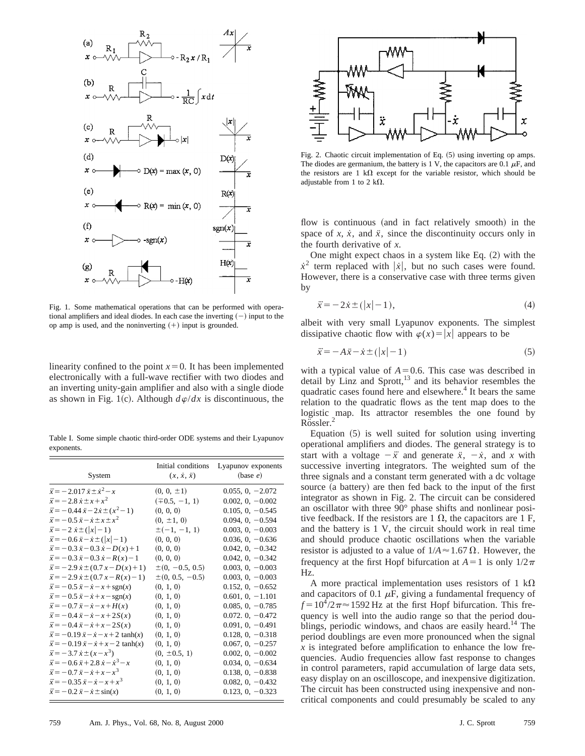

Fig. 1. Some mathematical operations that can be performed with operational amplifiers and ideal diodes. In each case the inverting  $(-)$  input to the op amp is used, and the noninverting  $(+)$  input is grounded.

linearity confined to the point  $x=0$ . It has been implemented electronically with a full-wave rectifier with two diodes and an inverting unity-gain amplifier and also with a single diode as shown in Fig. 1(c). Although  $d\varphi/dx$  is discontinuous, the

Table I. Some simple chaotic third-order ODE systems and their Lyapunov exponents.

| System                                                    | Initial conditions<br>$(x, \dot{x}, \ddot{x})$ | Lyapunov exponents<br>(base e) |
|-----------------------------------------------------------|------------------------------------------------|--------------------------------|
| $\ddot{x} = -2.017 \dot{x} \pm \dot{x}^2 - x$             | $(0, 0, \pm 1)$                                | $0.055, 0, -2.072$             |
| $\ddot{x} = -2.8 \dot{x} \pm x + x^2$                     | $(\pm 0.5, -1, 1)$                             | $0.002, 0, -0.002$             |
| $\ddot{x} = -0.44 \dot{x} - 2 \dot{x} \pm (x^2 - 1)$      | (0, 0, 0)                                      | $0.105, 0, -0.545$             |
| $\ddot{x} = -0.5 \dot{x} - \dot{x} \pm x \pm x^2$         | $(0, \pm 1, 0)$                                | $0.094, 0, -0.594$             |
| $\ddot{x} = -2 \dot{x} \pm ( x -1)$                       | $\pm(-1, -1, 1)$                               | $0.003, 0, -0.003$             |
| $\ddot{x} = -0.6 \dot{x} - \dot{x} \pm ( \dot{x}  - 1)$   | (0, 0, 0)                                      | $0.036, 0, -0.636$             |
| $\ddot{x} = -0.3 \dot{x} - 0.3 \dot{x} - D(x) + 1$        | (0, 0, 0)                                      | $0.042, 0, -0.342$             |
| $\ddot{x} = -0.3 \dot{x} - 0.3 \dot{x} - R(x) - 1$        | (0, 0, 0)                                      | $0.042, 0, -0.342$             |
| $\ddot{x} = -2.9 \dot{x} \pm (0.7 x - D(x) + 1)$          | $\pm (0, -0.5, 0.5)$                           | $0.003, 0, -0.003$             |
| $\ddot{x} = -2.9 \dot{x} \pm (0.7 x - R(x) - 1)$          | $\pm(0, 0.5, -0.5)$                            | $0.003, 0, -0.003$             |
| $\ddot{x} = -0.5 \dot{x} - \dot{x} - x + \text{sgn}(x)$   | (0, 1, 0)                                      | $0.152, 0, -0.652$             |
| $\ddot{x} = -0.5 \dot{x} - \dot{x} + x - \text{sgn}(x)$   | (0, 1, 0)                                      | $0.601, 0, -1.101$             |
| $\ddot{x} = -0.7 \dot{x} - \dot{x} - x + H(x)$            | (0, 1, 0)                                      | $0.085, 0, -0.785$             |
| $\ddot{x} = -0.4 \dot{x} - \dot{x} - x + 2S(x)$           | (0, 1, 0)                                      | $0.072, 0, -0.472$             |
| $\ddot{x} = -0.4 \ddot{x} - \dot{x} + x - 2S(x)$          | (0, 1, 0)                                      | $0.091, 0, -0.491$             |
| $\ddot{x} = -0.19 \dot{x} - \dot{x} - x + 2 \tanh(x)$     | (0, 1, 0)                                      | $0.128, 0, -0.318$             |
| $\ddot{x} = -0.19 \dot{x} - \dot{x} + x - 2 \tanh(x)$     | (0, 1, 0)                                      | $0.067, 0, -0.257$             |
| $\ddot{x} = -3.7 \dot{x} \pm (x - x^3)$                   | $(0, \pm 0.5, 1)$                              | $0.002, 0, -0.002$             |
| $\ddot{x} = -0.6 \dot{x} + 2.8 \dot{x} - \dot{x}^{3} - x$ | (0, 1, 0)                                      | $0.034, 0, -0.634$             |
| $\ddot{x} = -0.7 \ddot{x} - \dot{x} + x - x^3$            | (0, 1, 0)                                      | $0.138, 0, -0.838$             |
| $\ddot{x} = -0.35 \dot{x} - \dot{x} - x + x^3$            | (0, 1, 0)                                      | $0.082, 0, -0.432$             |
| $\ddot{x} = -0.2 \dot{x} - \dot{x} \pm \sin(x)$           | (0, 1, 0)                                      | $0.123, 0, -0.323$             |



Fig. 2. Chaotic circuit implementation of Eq.  $(5)$  using inverting op amps. The diodes are germanium, the battery is 1 V, the capacitors are 0.1  $\mu$ F, and the resistors are 1 k $\Omega$  except for the variable resistor, which should be adjustable from 1 to 2 k $\Omega$ .

flow is continuous (and in fact relatively smooth) in the space of  $x$ ,  $\dot{x}$ , and  $\ddot{x}$ , since the discontinuity occurs only in the fourth derivative of *x*.

One might expect chaos in a system like Eq.  $(2)$  with the  $\dot{x}^2$  term replaced with  $|\dot{x}|$ , but no such cases were found. However, there is a conservative case with three terms given by

$$
\ddot{x} = -2\dot{x} \pm (|x| - 1),\tag{4}
$$

albeit with very small Lyapunov exponents. The simplest dissipative chaotic flow with  $\varphi(x) = |x|$  appears to be

$$
\ddot{x} = -A\dot{x} - \dot{x} \pm (|x| - 1)
$$
 (5)

with a typical value of  $A=0.6$ . This case was described in detail by Linz and Sprott, $^{13}$  and its behavior resembles the quadratic cases found here and elsewhere.<sup>4</sup> It bears the same relation to the quadratic flows as the tent map does to the logistic map. Its attractor resembles the one found by Rössler.

Equation  $(5)$  is well suited for solution using inverting operational amplifiers and diodes. The general strategy is to start with a voltage  $-\ddot{x}$  and generate  $\ddot{x}$ ,  $-\dot{x}$ , and *x* with successive inverting integrators. The weighted sum of the three signals and a constant term generated with a dc voltage source (a battery) are then fed back to the input of the first integrator as shown in Fig. 2. The circuit can be considered an oscillator with three 90° phase shifts and nonlinear positive feedback. If the resistors are 1  $\Omega$ , the capacitors are 1 F, and the battery is 1 V, the circuit should work in real time and should produce chaotic oscillations when the variable resistor is adjusted to a value of  $1/A \approx 1.67 \Omega$ . However, the frequency at the first Hopf bifurcation at  $A=1$  is only  $1/2\pi$ Hz.

A more practical implementation uses resistors of 1 k $\Omega$ and capacitors of 0.1  $\mu$ F, giving a fundamental frequency of  $f = 10^4/2\pi \approx 1592$  Hz at the first Hopf bifurcation. This frequency is well into the audio range so that the period doublings, periodic windows, and chaos are easily heard.<sup>14</sup> The period doublings are even more pronounced when the signal *x* is integrated before amplification to enhance the low frequencies. Audio frequencies allow fast response to changes in control parameters, rapid accumulation of large data sets, easy display on an oscilloscope, and inexpensive digitization. The circuit has been constructed using inexpensive and noncritical components and could presumably be scaled to any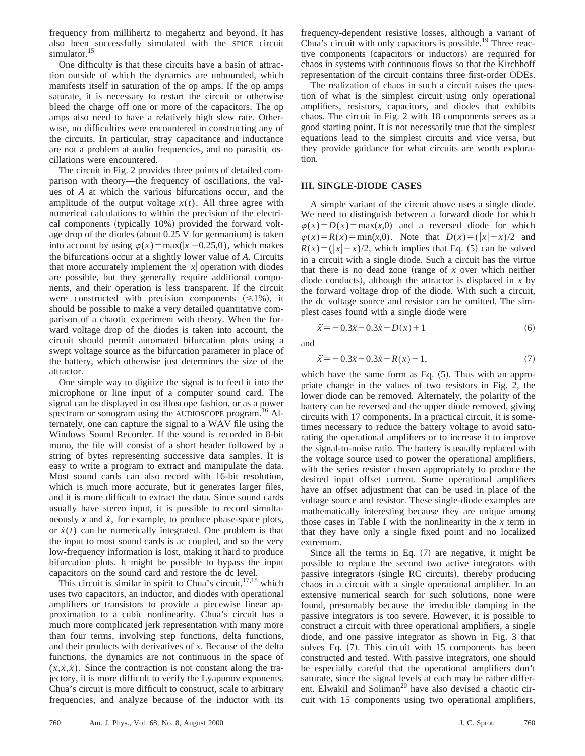frequency from millihertz to megahertz and beyond. It has also been successfully simulated with the SPICE circuit simulator.<sup>15</sup>

One difficulty is that these circuits have a basin of attraction outside of which the dynamics are unbounded, which manifests itself in saturation of the op amps. If the op amps saturate, it is necessary to restart the circuit or otherwise bleed the charge off one or more of the capacitors. The op amps also need to have a relatively high slew rate. Otherwise, no difficulties were encountered in constructing any of the circuits. In particular, stray capacitance and inductance are not a problem at audio frequencies, and no parasitic oscillations were encountered.

The circuit in Fig. 2 provides three points of detailed comparison with theory—the frequency of oscillations, the values of *A* at which the various bifurcations occur, and the amplitude of the output voltage  $x(t)$ . All three agree with numerical calculations to within the precision of the electrical components (typically  $10\%$ ) provided the forward voltage drop of the diodes (about  $0.25$  V for germanium) is taken into account by using  $\varphi(x) = \max(|x| - 0.25,0)$ , which makes the bifurcations occur at a slightly lower value of *A*. Circuits that more accurately implement the  $|x|$  operation with diodes are possible, but they generally require additional components, and their operation is less transparent. If the circuit were constructed with precision components  $(\leq 1\%)$ , it should be possible to make a very detailed quantitative comparison of a chaotic experiment with theory. When the forward voltage drop of the diodes is taken into account, the circuit should permit automated bifurcation plots using a swept voltage source as the bifurcation parameter in place of the battery, which otherwise just determines the size of the attractor.

One simple way to digitize the signal is to feed it into the microphone or line input of a computer sound card. The signal can be displayed in oscilloscope fashion, or as a power spectrum or sonogram using the AUDIOSCOPE program.<sup>16</sup> Alternately, one can capture the signal to a WAV file using the Windows Sound Recorder. If the sound is recorded in 8-bit mono, the file will consist of a short header followed by a string of bytes representing successive data samples. It is easy to write a program to extract and manipulate the data. Most sound cards can also record with 16-bit resolution, which is much more accurate, but it generates larger files, and it is more difficult to extract the data. Since sound cards usually have stereo input, it is possible to record simultaneously  $x$  and  $\dot{x}$ , for example, to produce phase-space plots, or  $\dot{x}(t)$  can be numerically integrated. One problem is that the input to most sound cards is ac coupled, and so the very low-frequency information is lost, making it hard to produce bifurcation plots. It might be possible to bypass the input capacitors on the sound card and restore the dc level.

This circuit is similar in spirit to Chua's circuit, $17,18$  which uses two capacitors, an inductor, and diodes with operational amplifiers or transistors to provide a piecewise linear approximation to a cubic nonlinearity. Chua's circuit has a much more complicated jerk representation with many more than four terms, involving step functions, delta functions, and their products with derivatives of *x*. Because of the delta functions, the dynamics are not continuous in the space of  $(x, \dot{x}, \ddot{x})$ . Since the contraction is not constant along the trajectory, it is more difficult to verify the Lyapunov exponents. Chua's circuit is more difficult to construct, scale to arbitrary frequencies, and analyze because of the inductor with its

frequency-dependent resistive losses, although a variant of Chua's circuit with only capacitors is possible.19 Three reactive components (capacitors or inductors) are required for chaos in systems with continuous flows so that the Kirchhoff representation of the circuit contains three first-order ODEs.

The realization of chaos in such a circuit raises the question of what is the simplest circuit using only operational amplifiers, resistors, capacitors, and diodes that exhibits chaos. The circuit in Fig. 2 with 18 components serves as a good starting point. It is not necessarily true that the simplest equations lead to the simplest circuits and vice versa, but they provide guidance for what circuits are worth exploration.

#### **III. SINGLE-DIODE CASES**

A simple variant of the circuit above uses a single diode. We need to distinguish between a forward diode for which  $\varphi(x) = D(x) = \max(x,0)$  and a reversed diode for which  $\varphi(x) = R(x) = \min(x, 0)$ . Note that  $D(x) = (|x| + x)/2$  and  $R(x) = (|x|-x)/2$ , which implies that Eq. (5) can be solved in a circuit with a single diode. Such a circuit has the virtue that there is no dead zone (range of  $x$  over which neither diode conducts), although the attractor is displaced in  $x$  by the forward voltage drop of the diode. With such a circuit, the dc voltage source and resistor can be omitted. The simplest cases found with a single diode were

$$
\ddot{x} = -0.3\dot{x} - 0.3\dot{x} - D(x) + 1\tag{6}
$$

and

$$
\ddot{x} = -0.3\dot{x} - 0.3\dot{x} - R(x) - 1,\tag{7}
$$

which have the same form as Eq.  $(5)$ . Thus with an appropriate change in the values of two resistors in Fig. 2, the lower diode can be removed. Alternately, the polarity of the battery can be reversed and the upper diode removed, giving circuits with 17 components. In a practical circuit, it is sometimes necessary to reduce the battery voltage to avoid saturating the operational amplifiers or to increase it to improve the signal-to-noise ratio. The battery is usually replaced with the voltage source used to power the operational amplifiers, with the series resistor chosen appropriately to produce the desired input offset current. Some operational amplifiers have an offset adjustment that can be used in place of the voltage source and resistor. These single-diode examples are mathematically interesting because they are unique among those cases in Table I with the nonlinearity in the *x* term in that they have only a single fixed point and no localized extremum.

Since all the terms in Eq.  $(7)$  are negative, it might be possible to replace the second two active integrators with passive integrators (single RC circuits), thereby producing chaos in a circuit with a single operational amplifier. In an extensive numerical search for such solutions, none were found, presumably because the irreducible damping in the passive integrators is too severe. However, it is possible to construct a circuit with three operational amplifiers, a single diode, and one passive integrator as shown in Fig. 3 that solves Eq.  $(7)$ . This circuit with 15 components has been constructed and tested. With passive integrators, one should be especially careful that the operational amplifiers don't saturate, since the signal levels at each may be rather different. Elwakil and Soliman<sup>20</sup> have also devised a chaotic circuit with 15 components using two operational amplifiers,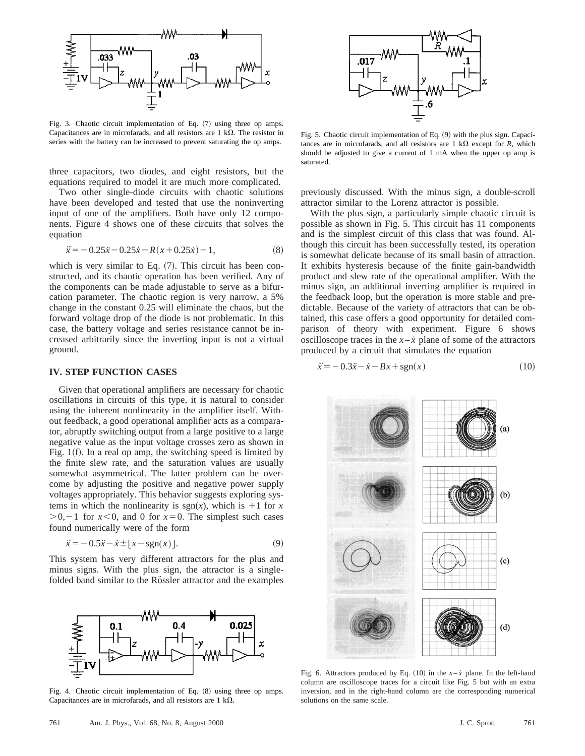

Fig. 3. Chaotic circuit implementation of Eq.  $(7)$  using three op amps. Capacitances are in microfarads, and all resistors are 1 k $\Omega$ . The resistor in series with the battery can be increased to prevent saturating the op amps.

three capacitors, two diodes, and eight resistors, but the equations required to model it are much more complicated.

Two other single-diode circuits with chaotic solutions have been developed and tested that use the noninverting input of one of the amplifiers. Both have only 12 components. Figure 4 shows one of these circuits that solves the equation

$$
\ddot{x} = -0.25\dot{x} - 0.25\dot{x} - R(x + 0.25\dot{x}) - 1,\tag{8}
$$

which is very similar to Eq.  $(7)$ . This circuit has been constructed, and its chaotic operation has been verified. Any of the components can be made adjustable to serve as a bifurcation parameter. The chaotic region is very narrow, a 5% change in the constant 0.25 will eliminate the chaos, but the forward voltage drop of the diode is not problematic. In this case, the battery voltage and series resistance cannot be increased arbitrarily since the inverting input is not a virtual ground.

#### **IV. STEP FUNCTION CASES**

Given that operational amplifiers are necessary for chaotic oscillations in circuits of this type, it is natural to consider using the inherent nonlinearity in the amplifier itself. Without feedback, a good operational amplifier acts as a comparator, abruptly switching output from a large positive to a large negative value as the input voltage crosses zero as shown in Fig.  $1(f)$ . In a real op amp, the switching speed is limited by the finite slew rate, and the saturation values are usually somewhat asymmetrical. The latter problem can be overcome by adjusting the positive and negative power supply voltages appropriately. This behavior suggests exploring systems in which the nonlinearity is  $sgn(x)$ , which is  $+1$  for *x*  $>0$ , -1 for  $x<0$ , and 0 for  $x=0$ . The simplest such cases found numerically were of the form

$$
\ddot{x} = -0.5\dot{x} - \dot{x} \pm [x - \text{sgn}(x)].\tag{9}
$$

This system has very different attractors for the plus and minus signs. With the plus sign, the attractor is a singlefolded band similar to the Rössler attractor and the examples



Fig. 4. Chaotic circuit implementation of Eq. (8) using three op amps. Capacitances are in microfarads, and all resistors are 1  $k\Omega$ .

Fig. 5. Chaotic circuit implementation of Eq. (9) with the plus sign. Capacitances are in microfarads, and all resistors are  $1 \text{ k}\Omega$  except for *R*, which should be adjusted to give a current of 1 mA when the upper op amp is saturated.

previously discussed. With the minus sign, a double-scroll attractor similar to the Lorenz attractor is possible.

With the plus sign, a particularly simple chaotic circuit is possible as shown in Fig. 5. This circuit has 11 components and is the simplest circuit of this class that was found. Although this circuit has been successfully tested, its operation is somewhat delicate because of its small basin of attraction. It exhibits hysteresis because of the finite gain-bandwidth product and slew rate of the operational amplifier. With the minus sign, an additional inverting amplifier is required in the feedback loop, but the operation is more stable and predictable. Because of the variety of attractors that can be obtained, this case offers a good opportunity for detailed comparison of theory with experiment. Figure 6 shows oscilloscope traces in the  $x - \dot{x}$  plane of some of the attractors produced by a circuit that simulates the equation

$$
\ddot{x} = -0.3\dot{x} - \dot{x} - Bx + \text{sgn}(x) \tag{10}
$$



Fig. 6. Attractors produced by Eq.  $(10)$  in the  $x - \dot{x}$  plane. In the left-hand column are oscilloscope traces for a circuit like Fig. 5 but with an extra inversion, and in the right-hand column are the corresponding numerical solutions on the same scale.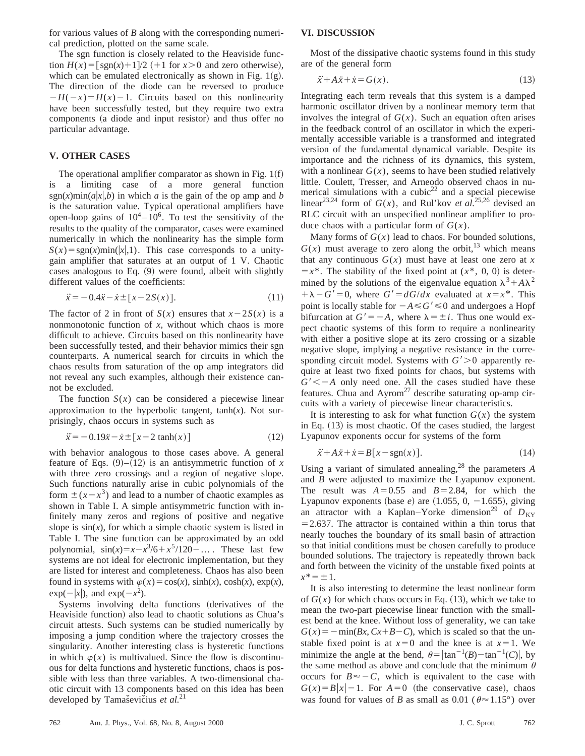for various values of *B* along with the corresponding numerical prediction, plotted on the same scale.

The sgn function is closely related to the Heaviside function  $H(x) = \left[\text{sgn}(x) + 1\right]/2$  (+1 for  $x > 0$  and zero otherwise), which can be emulated electronically as shown in Fig.  $1(g)$ . The direction of the diode can be reversed to produce  $-H(-x)=H(x)-1$ . Circuits based on this nonlinearity have been successfully tested, but they require two extra components (a diode and input resistor) and thus offer no particular advantage.

### **V. OTHER CASES**

The operational amplifier comparator as shown in Fig.  $1(f)$ is a limiting case of a more general function sgn(x)min( $a|x|, b$ ) in which *a* is the gain of the op amp and *b* is the saturation value. Typical operational amplifiers have open-loop gains of  $10^4 - 10^6$ . To test the sensitivity of the results to the quality of the comparator, cases were examined numerically in which the nonlinearity has the simple form  $S(x) = sgn(x)min(|x|,1)$ . This case corresponds to a unitygain amplifier that saturates at an output of 1 V. Chaotic cases analogous to Eq.  $(9)$  were found, albeit with slightly different values of the coefficients:

$$
\ddot{x} = -0.4\dot{x} - \dot{x} \pm [x - 2S(x)].\tag{11}
$$

The factor of 2 in front of  $S(x)$  ensures that  $x-2S(x)$  is a nonmonotonic function of *x*, without which chaos is more difficult to achieve. Circuits based on this nonlinearity have been successfully tested, and their behavior mimics their sgn counterparts. A numerical search for circuits in which the chaos results from saturation of the op amp integrators did not reveal any such examples, although their existence cannot be excluded.

The function  $S(x)$  can be considered a piecewise linear approximation to the hyperbolic tangent,  $tanh(x)$ . Not surprisingly, chaos occurs in systems such as

$$
\ddot{x} = -0.19\dot{x} - \dot{x} \pm [x - 2 \tanh(x)] \tag{12}
$$

with behavior analogous to those cases above. A general feature of Eqs.  $(9)$ – $(12)$  is an antisymmetric function of *x* with three zero crossings and a region of negative slope. Such functions naturally arise in cubic polynomials of the form  $\pm (x-x^3)$  and lead to a number of chaotic examples as shown in Table I. A simple antisymmetric function with infinitely many zeros and regions of positive and negative slope is  $sin(x)$ , for which a simple chaotic system is listed in Table I. The sine function can be approximated by an odd polynomial,  $sin(x)=x-x^3/6+x^5/120$ <sup>-</sup>.... These last few systems are not ideal for electronic implementation, but they are listed for interest and completeness. Chaos has also been found in systems with  $\varphi(x) = \cos(x)$ ,  $\sinh(x)$ ,  $\cosh(x)$ ,  $\exp(x)$ ,  $exp(-|x|)$ , and  $exp(-x^2)$ .

Systems involving delta functions (derivatives of the Heaviside function) also lead to chaotic solutions as Chua's circuit attests. Such systems can be studied numerically by imposing a jump condition where the trajectory crosses the singularity. Another interesting class is hysteretic functions in which  $\varphi(x)$  is multivalued. Since the flow is discontinuous for delta functions and hysteretic functions, chaos is possible with less than three variables. A two-dimensional chaotic circuit with 13 components based on this idea has been developed by Tamaševičius et al.<sup>21</sup>

#### **VI. DISCUSSION**

Most of the dissipative chaotic systems found in this study are of the general form

$$
\ddot{x} + A\ddot{x} + \dot{x} = G(x). \tag{13}
$$

Integrating each term reveals that this system is a damped harmonic oscillator driven by a nonlinear memory term that involves the integral of  $G(x)$ . Such an equation often arises in the feedback control of an oscillator in which the experimentally accessible variable is a transformed and integrated version of the fundamental dynamical variable. Despite its importance and the richness of its dynamics, this system, with a nonlinear  $G(x)$ , seems to have been studied relatively little. Coulett, Tresser, and Arneodo observed chaos in numerical simulations with a cubic<sup>22</sup> and a special piecewise linear<sup>23,24</sup> form of  $G(x)$ , and Rul'kov *et al.*<sup>25,26</sup> devised an RLC circuit with an unspecified nonlinear amplifier to produce chaos with a particular form of  $G(x)$ .

Many forms of  $G(x)$  lead to chaos. For bounded solutions,  $G(x)$  must average to zero along the orbit,<sup>13</sup> which means that any continuous  $G(x)$  must have at least one zero at x  $=x^*$ . The stability of the fixed point at  $(x^*, 0, 0)$  is determined by the solutions of the eigenvalue equation  $\lambda^3 + A\lambda^2$  $+\lambda - G' = 0$ , where  $G' = dG/dx$  evaluated at  $x = x^*$ . This point is locally stable for  $-A \leq G' \leq 0$  and undergoes a Hopf bifurcation at  $G' = -A$ , where  $\lambda = \pm i$ . Thus one would expect chaotic systems of this form to require a nonlinearity with either a positive slope at its zero crossing or a sizable negative slope, implying a negative resistance in the corresponding circuit model. Systems with  $G' > 0$  apparently require at least two fixed points for chaos, but systems with  $G' \leq -A$  only need one. All the cases studied have these features. Chua and  $Ayrom<sup>27</sup>$  describe saturating op-amp circuits with a variety of piecewise linear characteristics.

It is interesting to ask for what function  $G(x)$  the system in Eq.  $(13)$  is most chaotic. Of the cases studied, the largest Lyapunov exponents occur for systems of the form

$$
\ddot{x} + A\dot{x} + \dot{x} = B[x - \text{sgn}(x)].\tag{14}
$$

Using a variant of simulated annealing,28 the parameters *A* and *B* were adjusted to maximize the Lyapunov exponent. The result was  $A=0.55$  and  $B=2.84$ , for which the Lyapunov exponents (base  $e$ ) are  $(1.055, 0, -1.655)$ , giving an attractor with a Kaplan–Yorke dimension<sup>29</sup> of  $D_{KY}$  $=$  2.637. The attractor is contained within a thin torus that nearly touches the boundary of its small basin of attraction so that initial conditions must be chosen carefully to produce bounded solutions. The trajectory is repeatedly thrown back and forth between the vicinity of the unstable fixed points at  $x^* = \pm 1$ .

It is also interesting to determine the least nonlinear form of  $G(x)$  for which chaos occurs in Eq. (13), which we take to mean the two-part piecewise linear function with the smallest bend at the knee. Without loss of generality, we can take  $G(x) = -\min(Bx, Cx+B-C)$ , which is scaled so that the unstable fixed point is at  $x=0$  and the knee is at  $x=1$ . We minimize the angle at the bend,  $\theta = |\tan^{-1}(B) - \tan^{-1}(C)|$ , by the same method as above and conclude that the minimum  $\theta$ occurs for  $B \approx -C$ , which is equivalent to the case with  $G(x) = B|x| - 1$ . For  $A = 0$  (the conservative case), chaos was found for values of *B* as small as 0.01 ( $\theta \approx 1.15^{\circ}$ ) over